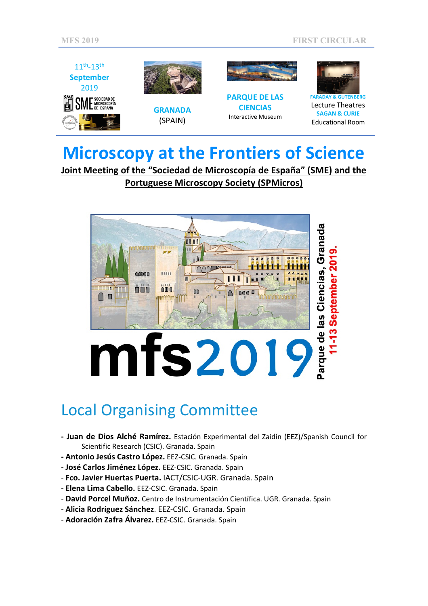

# **Microscopy at the Frontiers of Science**

**Joint Meeting of the "Sociedad de Microscopía de España" (SME) and the Portuguese Microscopy Society (SPMicros)**



## Local Organising Committee

- **- Juan de Dios Alché Ramírez.** Estación Experimental del Zaidín (EEZ)/Spanish Council for Scientific Research (CSIC). Granada. Spain
- **- Antonio Jesús Castro López.** EEZ-CSIC. Granada. Spain
- **José Carlos Jiménez López.** EEZ-CSIC. Granada. Spain
- **Fco. Javier Huertas Puerta.** IACT/CSIC-UGR. Granada. Spain
- **Elena Lima Cabello.** EEZ-CSIC. Granada. Spain
- **David Porcel Muñoz.** Centro de Instrumentación Científica. UGR. Granada. Spain
- **Alicia Rodríguez Sánchez**. EEZ-CSIC. Granada. Spain
- **Adoración Zafra Álvarez.** EEZ-CSIC. Granada. Spain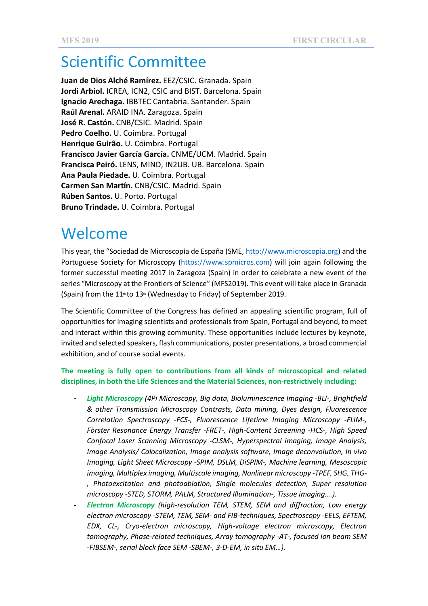## Scientific Committee

**Juan de Dios Alché Ramírez.** EEZ/CSIC. Granada. Spain **Jordi Arbiol.** ICREA, ICN2, CSIC and BIST. Barcelona. Spain **Ignacio Arechaga.** IBBTEC Cantabria. Santander. Spain **Raúl Arenal.** ARAID INA. Zaragoza. Spain **José R. Castón.** CNB/CSIC. Madrid. Spain **Pedro Coelho.** U. Coimbra. Portugal **Henrique Guirão.** U. Coimbra. Portugal **Francisco Javier García García.** CNME/UCM. Madrid. Spain **Francisca Peiró.** LENS, MIND, IN2UB. UB. Barcelona. Spain **Ana Paula Piedade.** U. Coimbra. Portugal **Carmen San Martín.** CNB/CSIC. Madrid. Spain **Rúben Santos.** U. Porto. Portugal **Bruno Trindade.** U. Coimbra. Portugal

### Welcome

This year, the "Sociedad de Microscopía de España (SME, http://www.microscopia.org) and the Portuguese Society for Microscopy (https://www.spmicros.com) will join again following the former successful meeting 2017 in Zaragoza (Spain) in order to celebrate a new event of the series "Microscopy at the Frontiers of Science" (MFS2019). This event will take place in Granada (Spain) from the  $11<sup>th</sup>$  to  $13<sup>th</sup>$  (Wednesday to Friday) of September 2019.

The Scientific Committee of the Congress has defined an appealing scientific program, full of opportunities for imaging scientists and professionals from Spain, Portugal and beyond, to meet and interact within this growing community. These opportunities include lectures by keynote, invited and selected speakers, flash communications, poster presentations, a broad commercial exhibition, and of course social events.

#### **The meeting is fully open to contributions from all kinds of microscopical and related disciplines, in both the Life Sciences and the Material Sciences, non-restrictively including:**

- **-** *Light Microscopy (4Pi Microscopy, Big data, Bioluminescence Imaging -BLI-, Brightfield & other Transmission Microscopy Contrasts, Data mining, Dyes design, Fluorescence Correlation Spectroscopy -FCS-, Fluorescence Lifetime Imaging Microscopy -FLIM-, Förster Resonance Energy Transfer -FRET-, High-Content Screening -HCS-, High Speed Confocal Laser Scanning Microscopy -CLSM-, Hyperspectral imaging, Image Analysis, Image Analysis/ Colocalization, Image analysis software, Image deconvolution, In vivo Imaging, Light Sheet Microscopy -SPIM, DSLM, DiSPIM-, Machine learning, Mesoscopic imaging, Multiplex imaging, Multiscale imaging, Nonlinear microscopy -TPEF, SHG, THG- , Photoexcitation and photoablation, Single molecules detection, Super resolution microscopy -STED, STORM, PALM, Structured Illumination-, Tissue imaging….).*
- **-** *Electron Microscopy (high-resolution TEM, STEM, SEM and diffraction, Low energy electron microscopy -STEM, TEM, SEM- and FIB-techniques, Spectroscopy -EELS, EFTEM, EDX, CL-, Cryo-electron microscopy, High-voltage electron microscopy, Electron tomography, Phase-related techniques, Array tomography -AT-, focused ion beam SEM -FIBSEM-, serial block face SEM -SBEM-, 3-D-EM, in situ EM…).*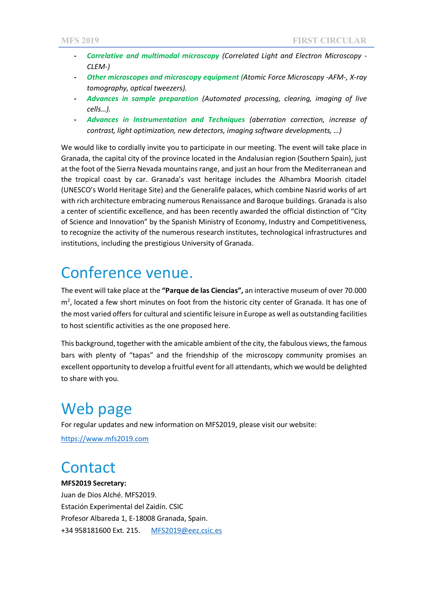- **-** *Correlative and multimodal microscopy (Correlated Light and Electron Microscopy - CLEM-)*
- **-** *Other microscopes and microscopy equipment (Atomic Force Microscopy -AFM-, X-ray tomography, optical tweezers).*
- **-** *Advances in sample preparation (Automated processing, clearing, imaging of live cells…).*
- **-** *Advances in Instrumentation and Techniques (aberration correction, increase of contrast, light optimization, new detectors, imaging software developments, …)*

We would like to cordially invite you to participate in our meeting. The event will take place in Granada, the capital city of the province located in the Andalusian region (Southern Spain), just at the foot of the Sierra Nevada mountains range, and just an hour from the Mediterranean and the tropical coast by car. Granada's vast heritage includes the Alhambra Moorish citadel (UNESCO's World Heritage Site) and the Generalife palaces, which combine Nasrid works of art with rich architecture embracing numerous Renaissance and Baroque buildings. Granada is also a center of scientific excellence, and has been recently awarded the official distinction of "City of Science and Innovation" by the Spanish Ministry of Economy, Industry and Competitiveness, to recognize the activity of the numerous research institutes, technological infrastructures and institutions, including the prestigious University of Granada.

#### Conference venue.

The event will take place at the **"Parque de las Ciencias",** an interactive museum of over 70.000 m<sup>2</sup>, located a few short minutes on foot from the historic city center of Granada. It has one of the most varied offers for cultural and scientific leisure in Europe as well as outstanding facilities to host scientific activities as the one proposed here.

This background, together with the amicable ambient of the city, the fabulous views, the famous bars with plenty of "tapas" and the friendship of the microscopy community promises an excellent opportunity to develop a fruitful event for all attendants, which we would be delighted to share with you.

### Web page

For regular updates and new information on MFS2019, please visit our website:

https://www.mfs2019.com

#### **Contact**

#### **MFS2019 Secretary:**

Juan de Dios Alché. MFS2019. Estación Experimental del Zaidín. CSIC Profesor Albareda 1, E-18008 Granada, Spain. +34 958181600 Ext. 215. MFS2019@eez.csic.es